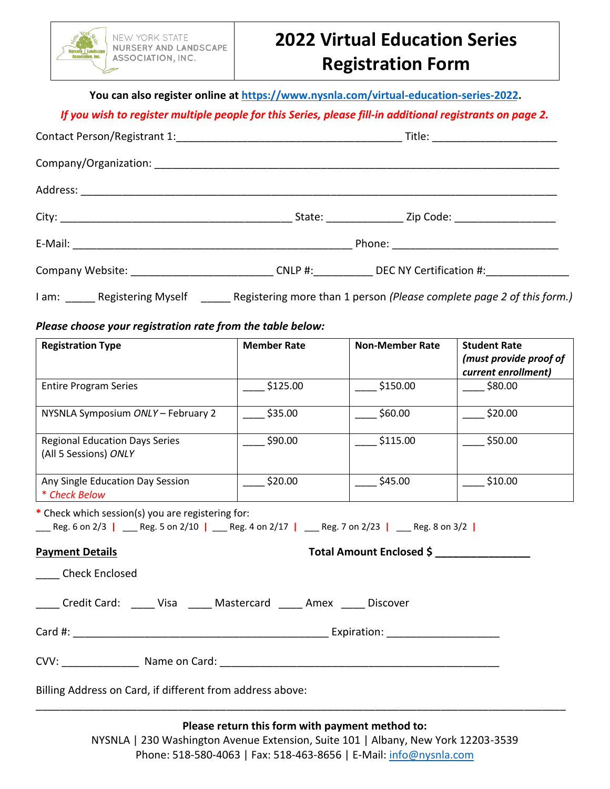

## **2022 Virtual Education Series Registration Form**

**You can also register online at [https://www.nysnla.com/virtual-education-](https://www.nysnla.com/virtual-education-days-series)series-2022.**

## *If you wish to register multiple people for this Series, please fill-in additional registrants on page 2.*

|                                                            |  | Company Website: __________________________________CNLP #:_____________DEC NY Certification #:_______________ |  |
|------------------------------------------------------------|--|---------------------------------------------------------------------------------------------------------------|--|
|                                                            |  | I am: ______ Registering Myself _______ Registering more than 1 person (Please complete page 2 of this form.) |  |
| Please choose your registration rate from the table below: |  |                                                                                                               |  |

| <b>Registration Type</b>                                                                                                                                  | <b>Member Rate</b>       | <b>Non-Member Rate</b> | <b>Student Rate</b>                           |  |  |
|-----------------------------------------------------------------------------------------------------------------------------------------------------------|--------------------------|------------------------|-----------------------------------------------|--|--|
|                                                                                                                                                           |                          |                        | (must provide proof of<br>current enrollment) |  |  |
| <b>Entire Program Series</b>                                                                                                                              | \$125.00                 | \$150.00               | \$80.00                                       |  |  |
| NYSNLA Symposium ONLY - February 2                                                                                                                        | \$35.00                  | \$60.00                | $\_$ \$20.00                                  |  |  |
| <b>Regional Education Days Series</b><br>(All 5 Sessions) ONLY                                                                                            | \$90.00                  | \$115.00               | \$50.00                                       |  |  |
| Any Single Education Day Session<br>* Check Below                                                                                                         | \$20.00                  | \$45.00                | \$10.00                                       |  |  |
| * Check which session(s) you are registering for:<br>___ Reg. 6 on 2/3   ___ Reg. 5 on 2/10   ___ Reg. 4 on 2/17   ___ Reg. 7 on 2/23   ___ Reg. 8 on 3/2 |                          |                        |                                               |  |  |
| <b>Payment Details</b>                                                                                                                                    | Total Amount Enclosed \$ |                        |                                               |  |  |
| <b>Check Enclosed</b>                                                                                                                                     |                          |                        |                                               |  |  |
| Credit Card: Visa Mastercard Amex Discover                                                                                                                |                          |                        |                                               |  |  |
|                                                                                                                                                           |                          |                        |                                               |  |  |
|                                                                                                                                                           |                          |                        |                                               |  |  |
| Billing Address on Card, if different from address above:                                                                                                 |                          |                        |                                               |  |  |
|                                                                                                                                                           |                          |                        |                                               |  |  |

**Please return this form with payment method to:**

NYSNLA | 230 Washington Avenue Extension, Suite 101 | Albany, New York 12203-3539 Phone: 518-580-4063 | Fax: 518-463-8656 | E-Mail: [info@nysnla.com](mailto:info@nysnla.com)